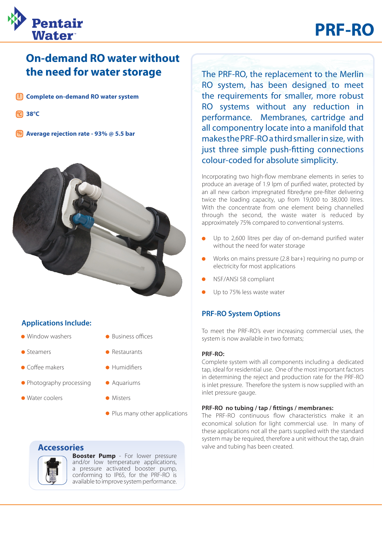

## **On-demand RO water without the need for water storage** The PRF-RO, the replacement to the Merlin

**Complete on-demand RO water system** !

Pentair

Water

- **38°C ºC**
- **% Average rejection rate - 93% @ 5.5 bar**



#### **Applications Include:**

- Window washers
- **Steamers**
- Coffee makers
- Photography processing
- Water coolers
- Business offices
- **Restaurants**
- · Humidifiers
- **Aquariums** 
	- **Misters**
	- Plus many other applications

#### **Accessories**



**Booster Pump** - For lower pressure and/or low temperature applications, a pressure activated booster pump, conforming to IP65, for the PRF-RO is available to improve system performance.

RO system, has been designed to meet the requirements for smaller, more robust RO systems without any reduction in performance. Membranes, cartridge and all componentry locate into a manifold that makes the PRF-RO a third smaller in size, with just three simple push-fitting connections colour-coded for absolute simplicity.

Incorporating two high-flow membrane elements in series to produce an average of 1.9 lpm of purified water, protected by an all new carbon impregnated fibredyne pre-filter delivering twice the loading capacity, up from 19,000 to 38,000 litres. With the concentrate from one element being channelled through the second, the waste water is reduced by approximately 75% compared to conventional systems.

- Up to 2,600 litres per day of on-demand purified water without the need for water storage
- Works on mains pressure (2.8 bar+) requiring no pump or electricity for most applications
- NSF/ANSI 58 compliant
- Up to 75% less waste water

#### **PRF-RO System Options**

To meet the PRF-RO's ever increasing commercial uses, the system is now available in two formats;

#### **PRF-RO:**

Complete system with all components including a dedicated tap, ideal for residential use. One of the most important factors in determining the reject and production rate for the PRF-RO is inlet pressure. Therefore the system is now supplied with an inlet pressure gauge.

#### **PRF-RO no tubing / tap / fittings / membranes:**

The PRF-RO continuous flow characteristics make it an economical solution for light commercial use. In many of these applications not all the parts supplied with the standard system may be required, therefore a unit without the tap, drain valve and tubing has been created.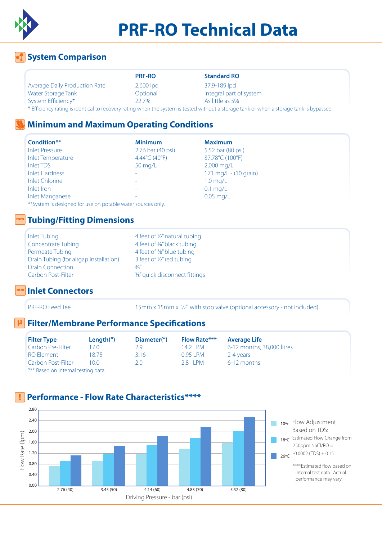

# **PRF-RO Technical Data**

## **System Comparison**

|                                      | <b>PRF-RO</b> | <b>Standard RO</b>                                                                                                                       |
|--------------------------------------|---------------|------------------------------------------------------------------------------------------------------------------------------------------|
| <b>Average Daily Production Rate</b> | $2,600$ lpd   | 37.9-189 lpd                                                                                                                             |
| Water Storage Tank                   | Optional      | Integral part of system                                                                                                                  |
| System Efficiency*                   | 22.7%         | As little as 5%                                                                                                                          |
|                                      |               | * Efficiency rating is identical to recovery rating when the system is tested without a storage tank or when a storage tank is bypassed. |

### **Minimum and Maximum Operating Conditions**

| Condition**              | <b>Minimum</b>    | <b>Maximum</b>        |
|--------------------------|-------------------|-----------------------|
| <b>Inlet Pressure</b>    | 2.76 bar (40 psi) | 5.52 bar (80 psi)     |
| <b>Inlet Temperature</b> | 4.44°C (40°F)     | 37.78°C (100°F)       |
| Inlet TDS                | 50 mg/L           | 2,000 mg/L            |
| <b>Inlet Hardness</b>    |                   | 171 mg/L - (10 grain) |
| <b>Inlet Chlorine</b>    | -                 | $1.0$ mg/L            |
| Inlet Iron               |                   | $0.1$ mg/L            |
| <b>Inlet Manganese</b>   |                   | $0.05$ mg/L           |

\*\*System is designed for use on potable water sources only.

### **Tubing/Fitting Dimensions**

| Inlet Tubing                           | 4f    |
|----------------------------------------|-------|
| <b>Concentrate Tubing</b>              | 4f    |
| Permeate Tubing                        | 4f    |
| Drain Tubing (for airgap installation) | 3f    |
| <b>Drain Connection</b>                | 3/8'' |
| Carbon Post-Filter                     | 3/8'' |

4 feet of 1/2" natural tubing 4 feet of 3%" black tubing 4 feet of 3%" blue tubing 3 feet of  $\frac{1}{2}$ " red tubing 3%" quick disconnect fittings

#### **Inlet Connectors**

mm

mm

PRF-RO Feed Tee 15mm x 15mm x 15mm x 15mm x 15mm x 16mm x 16mm x 12" with stop valve (optional accessory - not included)

#### **Filter/Membrane Performance Specifications µ**

| <b>Filter Type</b>                  | Length $'$ ) | Diameter(") | <b>Flow Rate***</b> | <b>Average Life</b>        |
|-------------------------------------|--------------|-------------|---------------------|----------------------------|
| Carbon Pre-Filter                   | 70           | 2 g         | 14 2 I PM.          | 6-12 months, 38,000 litres |
| RO Element                          | 18 75.       | 3.16        | 0.95 LPM            | 2-4 years                  |
| Carbon Post-Filter                  | 10.0         | 20          | $28$ IPM            | 6-12 months                |
| *** Based on internal testing data. |              |             |                     |                            |

#### **Performance - Flow Rate Characteristics\*\*\*\*** !